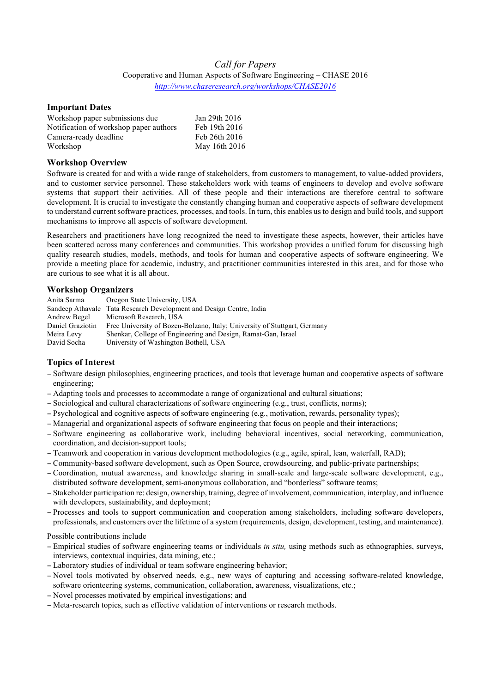# *Call for Papers* Cooperative and Human Aspects of Software Engineering – CHASE 2016 *http://www.chaseresearch.org/workshops/CHASE2016*

### **Important Dates**

| Workshop paper submissions due         | Jan 29th 2016 |
|----------------------------------------|---------------|
| Notification of workshop paper authors | Feb 19th 2016 |
| Camera-ready deadline                  | Feb 26th 2016 |
| Workshop                               | May 16th 2016 |

### **Workshop Overview**

Software is created for and with a wide range of stakeholders, from customers to management, to value-added providers, and to customer service personnel. These stakeholders work with teams of engineers to develop and evolve software systems that support their activities. All of these people and their interactions are therefore central to software development. It is crucial to investigate the constantly changing human and cooperative aspects of software development to understand current software practices, processes, and tools. In turn, this enables us to design and build tools, and support mechanisms to improve all aspects of software development.

Researchers and practitioners have long recognized the need to investigate these aspects, however, their articles have been scattered across many conferences and communities. This workshop provides a unified forum for discussing high quality research studies, models, methods, and tools for human and cooperative aspects of software engineering. We provide a meeting place for academic, industry, and practitioner communities interested in this area, and for those who are curious to see what it is all about.

## **Workshop Organizers**

| Anita Sarma      | Oregon State University, USA                                              |
|------------------|---------------------------------------------------------------------------|
|                  | Sandeep Athavale Tata Research Development and Design Centre, India       |
| Andrew Begel     | Microsoft Research, USA                                                   |
| Daniel Graziotin | Free University of Bozen-Bolzano, Italy; University of Stuttgart, Germany |
| Meira Levy       | Shenkar, College of Engineering and Design, Ramat-Gan, Israel             |
| David Socha      | University of Washington Bothell, USA                                     |

## **Topics of Interest**

- − Software design philosophies, engineering practices, and tools that leverage human and cooperative aspects of software engineering;
- − Adapting tools and processes to accommodate a range of organizational and cultural situations;
- − Sociological and cultural characterizations of software engineering (e.g., trust, conflicts, norms);
- − Psychological and cognitive aspects of software engineering (e.g., motivation, rewards, personality types);
- − Managerial and organizational aspects of software engineering that focus on people and their interactions;
- − Software engineering as collaborative work, including behavioral incentives, social networking, communication, coordination, and decision-support tools;
- − Teamwork and cooperation in various development methodologies (e.g., agile, spiral, lean, waterfall, RAD);
- − Community-based software development, such as Open Source, crowdsourcing, and public-private partnerships;
- − Coordination, mutual awareness, and knowledge sharing in small-scale and large-scale software development, e.g., distributed software development, semi-anonymous collaboration, and "borderless" software teams;
- − Stakeholder participation re: design, ownership, training, degree of involvement, communication, interplay, and influence with developers, sustainability, and deployment;
- − Processes and tools to support communication and cooperation among stakeholders, including software developers, professionals, and customers over the lifetime of a system (requirements, design, development, testing, and maintenance).

### Possible contributions include

- − Empirical studies of software engineering teams or individuals *in situ,* using methods such as ethnographies, surveys, interviews, contextual inquiries, data mining, etc.;
- − Laboratory studies of individual or team software engineering behavior;
- − Novel tools motivated by observed needs, e.g., new ways of capturing and accessing software-related knowledge, software orienteering systems, communication, collaboration, awareness, visualizations, etc.;
- − Novel processes motivated by empirical investigations; and
- − Meta-research topics, such as effective validation of interventions or research methods.